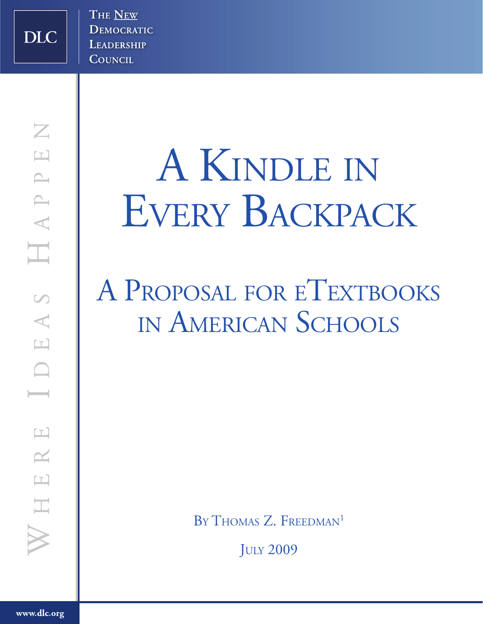**DLC** 

# A Kindle in EVERY BACKPACK

# A PROPOSAL FOR ETEXTBOOKS in American Schools

BY THOMAS Z. FREEDMAN<sup>1</sup>

**JULY 2009**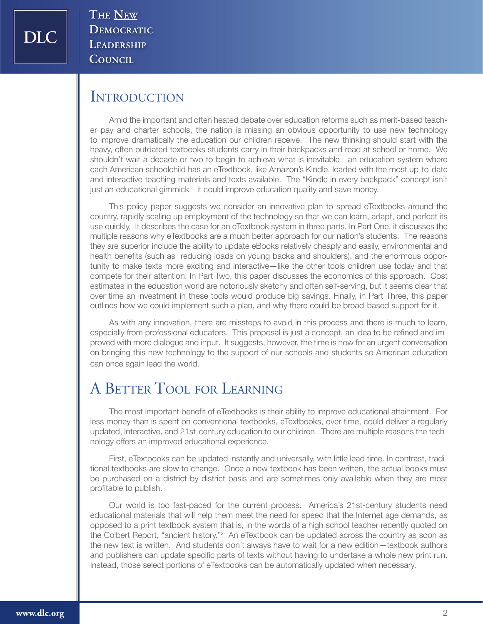**DIC** 

THE NEW DEMOCRATIC LEADERSHIP COUNCIL

#### **INTRODUCTION**

Amid the important and often heated debate over education reforms such as merit-based teacher pay and charter schools, the nation is missing an obvious opportunity to use new technology to improve dramatically the education our children receive. The new thinking should start with the heavy, often outdated textbooks students carry in their backpacks and read at school or home. We shouldn't wait a decade or two to begin to achieve what is inevitable—an education system where each American schoolchild has an eTextbook, like Amazon's Kindle, loaded with the most up-to-date and interactive teaching materials and texts available. The "Kindle in every backpack" concept isn't just an educational gimmick—it could improve education quality and save money.

This policy paper suggests we consider an innovative plan to spread eTextbooks around the country, rapidly scaling up employment of the technology so that we can learn, adapt, and perfect its use quickly. It describes the case for an eTextbook system in three parts. In Part One, it discusses the multiple reasons why eTextbooks are a much better approach for our nation's students. The reasons they are superior include the ability to update eBooks relatively cheaply and easily, environmental and health benefits (such as reducing loads on young backs and shoulders), and the enormous opportunity to make texts more exciting and interactive—like the other tools children use today and that compete for their attention. In Part Two, this paper discusses the economics of this approach. Cost estimates in the education world are notoriously sketchy and often self-serving, but it seems clear that over time an investment in these tools would produce big savings. Finally, in Part Three, this paper outlines how we could implement such a plan, and why there could be broad-based support for it.

As with any innovation, there are missteps to avoid in this process and there is much to learn, especially from professional educators. This proposal is just a concept, an idea to be refined and improved with more dialogue and input. It suggests, however, the time is now for an urgent conversation on bringing this new technology to the support of our schools and students so American education can once again lead the world.

# A BETTER TOOL FOR LEARNING

The most important benefit of eTextbooks is their ability to improve educational attainment. For less money than is spent on conventional textbooks, eTextbooks, over time, could deliver a regularly updated, interactive, and 21st-century education to our children. There are multiple reasons the technology offers an improved educational experience.

First, eTextbooks can be updated instantly and universally, with little lead time. In contrast, traditional textbooks are slow to change. Once a new textbook has been written, the actual books must be purchased on a district-by-district basis and are sometimes only available when they are most profitable to publish.

Our world is too fast-paced for the current process. America's 21st-century students need educational materials that will help them meet the need for speed that the Internet age demands, as opposed to a print textbook system that is, in the words of a high school teacher recently quoted on the Colbert Report, "ancient history."<sup>2</sup> An eTextbook can be updated across the country as soon as the new text is written. And students don't always have to wait for a new edition—textbook authors and publishers can update specific parts of texts without having to undertake a whole new print run. Instead, those select portions of eTextbooks can be automatically updated when necessary.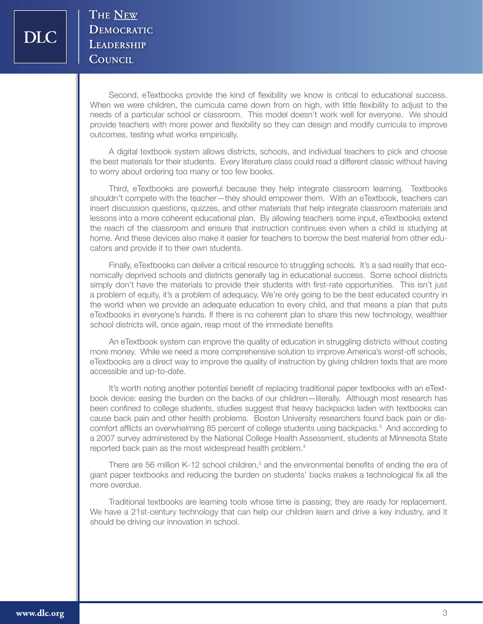Second, eTextbooks provide the kind of flexibility we know is critical to educational success. When we were children, the curricula came down from on high, with little flexibility to adjust to the needs of a particular school or classroom. This model doesn't work well for everyone. We should provide teachers with more power and flexibility so they can design and modify curricula to improve outcomes, testing what works empirically.

A digital textbook system allows districts, schools, and individual teachers to pick and choose the best materials for their students. Every literature class could read a different classic without having to worry about ordering too many or too few books.

Third, eTextbooks are powerful because they help integrate classroom learning. Textbooks shouldn't compete with the teacher—they should empower them. With an eTextbook, teachers can insert discussion questions, quizzes, and other materials that help integrate classroom materials and lessons into a more coherent educational plan. By allowing teachers some input, eTextbooks extend the reach of the classroom and ensure that instruction continues even when a child is studying at home. And these devices also make it easier for teachers to borrow the best material from other educators and provide it to their own students.

Finally, eTextbooks can deliver a critical resource to struggling schools. It's a sad reality that economically deprived schools and districts generally lag in educational success. Some school districts simply don't have the materials to provide their students with first-rate opportunities. This isn't just a problem of equity, it's a problem of adequacy. We're only going to be the best educated country in the world when we provide an adequate education to every child, and that means a plan that puts eTextbooks in everyone's hands. If there is no coherent plan to share this new technology, wealthier school districts will, once again, reap most of the immediate benefits

An eTextbook system can improve the quality of education in struggling districts without costing more money. While we need a more comprehensive solution to improve America's worst-off schools, eTextbooks are a direct way to improve the quality of instruction by giving children texts that are more accessible and up-to-date.

It's worth noting another potential benefit of replacing traditional paper textbooks with an eTextbook device: easing the burden on the backs of our children—literally. Although most research has been confined to college students, studies suggest that heavy backpacks laden with textbooks can cause back pain and other health problems. Boston University researchers found back pain or discomfort afflicts an overwhelming 85 percent of college students using backpacks.<sup>3</sup> And according to a 2007 survey administered by the National College Health Assessment, students at Minnesota State reported back pain as the most widespread health problem.<sup>4</sup>

There are 56 million K-12 school children,<sup>5</sup> and the environmental benefits of ending the era of giant paper textbooks and reducing the burden on students' backs makes a technological fix all the more overdue.

Traditional textbooks are learning tools whose time is passing; they are ready for replacement. We have a 21st-century technology that can help our children learn and drive a key industry, and it should be driving our innovation in school.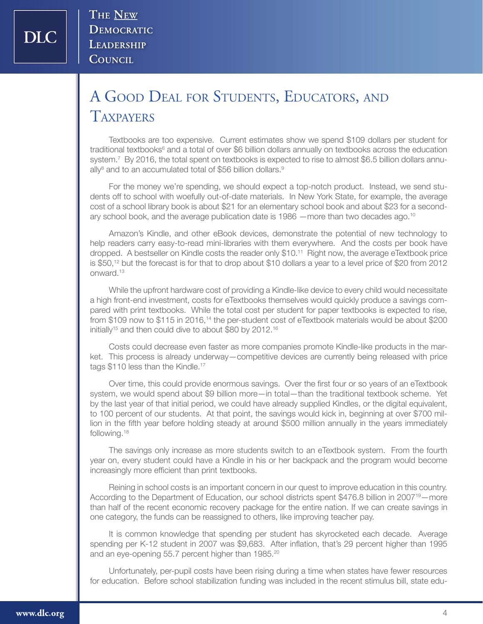# A Good Deal for Students, Educators, and **TAXPAYERS**

Textbooks are too expensive. Current estimates show we spend \$109 dollars per student for traditional textbooks<sup>6</sup> and a total of over \$6 billion dollars annually on textbooks across the education system.<sup>7</sup> By 2016, the total spent on textbooks is expected to rise to almost \$6.5 billion dollars annually<sup>8</sup> and to an accumulated total of \$56 billion dollars.<sup>9</sup>

For the money we're spending, we should expect a top-notch product. Instead, we send students off to school with woefully out-of-date materials. In New York State, for example, the average cost of a school library book is about \$21 for an elementary school book and about \$23 for a secondary school book, and the average publication date is 1986 —more than two decades ago.<sup>10</sup>

Amazon's Kindle, and other eBook devices, demonstrate the potential of new technology to help readers carry easy-to-read mini-libraries with them everywhere. And the costs per book have dropped. A bestseller on Kindle costs the reader only \$10.11 Right now, the average eTextbook price is \$50,12 but the forecast is for that to drop about \$10 dollars a year to a level price of \$20 from 2012 onward.13

While the upfront hardware cost of providing a Kindle-like device to every child would necessitate a high front-end investment, costs for eTextbooks themselves would quickly produce a savings compared with print textbooks. While the total cost per student for paper textbooks is expected to rise, from \$109 now to \$115 in 2016,14 the per-student cost of eTextbook materials would be about \$200 initially<sup>15</sup> and then could dive to about \$80 by 2012.<sup>16</sup>

Costs could decrease even faster as more companies promote Kindle-like products in the market. This process is already underway—competitive devices are currently being released with price tags \$110 less than the Kindle.<sup>17</sup>

Over time, this could provide enormous savings. Over the first four or so years of an eTextbook system, we would spend about \$9 billion more—in total—than the traditional textbook scheme. Yet by the last year of that initial period, we could have already supplied Kindles, or the digital equivalent, to 100 percent of our students. At that point, the savings would kick in, beginning at over \$700 million in the fifth year before holding steady at around \$500 million annually in the years immediately following.<sup>18</sup>

The savings only increase as more students switch to an eTextbook system. From the fourth year on, every student could have a Kindle in his or her backpack and the program would become increasingly more efficient than print textbooks.

Reining in school costs is an important concern in our quest to improve education in this country. According to the Department of Education, our school districts spent \$476.8 billion in 2007<sup>19</sup>—more than half of the recent economic recovery package for the entire nation. If we can create savings in one category, the funds can be reassigned to others, like improving teacher pay.

It is common knowledge that spending per student has skyrocketed each decade. Average spending per K-12 student in 2007 was \$9,683. After inflation, that's 29 percent higher than 1995 and an eye-opening 55.7 percent higher than 1985.<sup>20</sup>

Unfortunately, per-pupil costs have been rising during a time when states have fewer resources for education. Before school stabilization funding was included in the recent stimulus bill, state edu-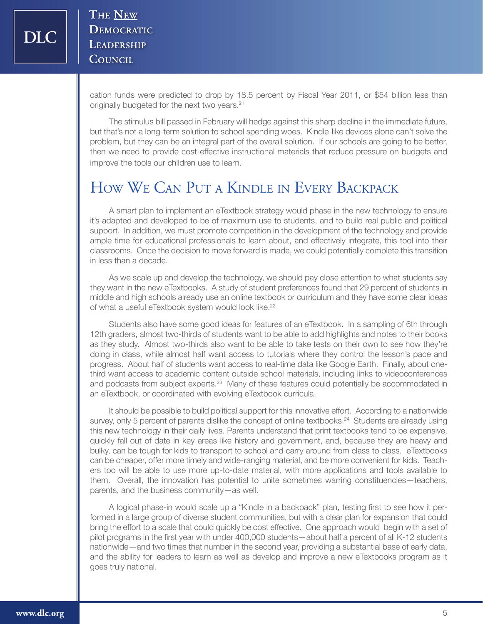cation funds were predicted to drop by 18.5 percent by Fiscal Year 2011, or \$54 billion less than originally budgeted for the next two years.<sup>21</sup>

The stimulus bill passed in February will hedge against this sharp decline in the immediate future, but that's not a long-term solution to school spending woes. Kindle-like devices alone can't solve the problem, but they can be an integral part of the overall solution. If our schools are going to be better, then we need to provide cost-effective instructional materials that reduce pressure on budgets and improve the tools our children use to learn.

# How We Can Put a Kindle in Every Backpack

A smart plan to implement an eTextbook strategy would phase in the new technology to ensure it's adapted and developed to be of maximum use to students, and to build real public and political support. In addition, we must promote competition in the development of the technology and provide ample time for educational professionals to learn about, and effectively integrate, this tool into their classrooms. Once the decision to move forward is made, we could potentially complete this transition in less than a decade.

As we scale up and develop the technology, we should pay close attention to what students say they want in the new eTextbooks. A study of student preferences found that 29 percent of students in middle and high schools already use an online textbook or curriculum and they have some clear ideas of what a useful eTextbook system would look like.<sup>22</sup>

Students also have some good ideas for features of an eTextbook. In a sampling of 6th through 12th graders, almost two-thirds of students want to be able to add highlights and notes to their books as they study. Almost two-thirds also want to be able to take tests on their own to see how they're doing in class, while almost half want access to tutorials where they control the lesson's pace and progress. About half of students want access to real-time data like Google Earth. Finally, about onethird want access to academic content outside school materials, including links to videoconferences and podcasts from subject experts.<sup>23</sup> Many of these features could potentially be accommodated in an eTextbook, or coordinated with evolving eTextbook curricula.

It should be possible to build political support for this innovative effort. According to a nationwide survey, only 5 percent of parents dislike the concept of online textbooks.<sup>24</sup> Students are already using this new technology in their daily lives. Parents understand that print textbooks tend to be expensive, quickly fall out of date in key areas like history and government, and, because they are heavy and bulky, can be tough for kids to transport to school and carry around from class to class. eTextbooks can be cheaper, offer more timely and wide-ranging material, and be more convenient for kids. Teachers too will be able to use more up-to-date material, with more applications and tools available to them. Overall, the innovation has potential to unite sometimes warring constituencies—teachers, parents, and the business community—as well.

A logical phase-in would scale up a "Kindle in a backpack" plan, testing first to see how it performed in a large group of diverse student communities, but with a clear plan for expansion that could bring the effort to a scale that could quickly be cost effective. One approach would begin with a set of pilot programs in the first year with under 400,000 students—about half a percent of all K-12 students nationwide—and two times that number in the second year, providing a substantial base of early data, and the ability for leaders to learn as well as develop and improve a new eTextbooks program as it goes truly national.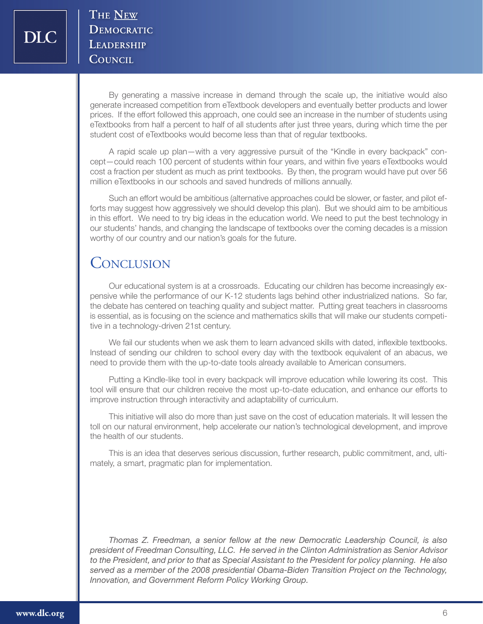By generating a massive increase in demand through the scale up, the initiative would also generate increased competition from eTextbook developers and eventually better products and lower prices. If the effort followed this approach, one could see an increase in the number of students using eTextbooks from half a percent to half of all students after just three years, during which time the per student cost of eTextbooks would become less than that of regular textbooks.

A rapid scale up plan—with a very aggressive pursuit of the "Kindle in every backpack" concept—could reach 100 percent of students within four years, and within five years eTextbooks would cost a fraction per student as much as print textbooks. By then, the program would have put over 56 million eTextbooks in our schools and saved hundreds of millions annually.

Such an effort would be ambitious (alternative approaches could be slower, or faster, and pilot efforts may suggest how aggressively we should develop this plan). But we should aim to be ambitious in this effort. We need to try big ideas in the education world. We need to put the best technology in our students' hands, and changing the landscape of textbooks over the coming decades is a mission worthy of our country and our nation's goals for the future.

# **CONCLUSION**

Our educational system is at a crossroads. Educating our children has become increasingly expensive while the performance of our K-12 students lags behind other industrialized nations. So far, the debate has centered on teaching quality and subject matter. Putting great teachers in classrooms is essential, as is focusing on the science and mathematics skills that will make our students competitive in a technology-driven 21st century.

We fail our students when we ask them to learn advanced skills with dated, inflexible textbooks. Instead of sending our children to school every day with the textbook equivalent of an abacus, we need to provide them with the up-to-date tools already available to American consumers.

Putting a Kindle-like tool in every backpack will improve education while lowering its cost. This tool will ensure that our children receive the most up-to-date education, and enhance our efforts to improve instruction through interactivity and adaptability of curriculum.

This initiative will also do more than just save on the cost of education materials. It will lessen the toll on our natural environment, help accelerate our nation's technological development, and improve the health of our students.

This is an idea that deserves serious discussion, further research, public commitment, and, ultimately, a smart, pragmatic plan for implementation.

*Thomas Z. Freedman, a senior fellow at the new Democratic Leadership Council, is also president of Freedman Consulting, LLC. He served in the Clinton Administration as Senior Advisor to the President, and prior to that as Special Assistant to the President for policy planning. He also served as a member of the 2008 presidential Obama-Biden Transition Project on the Technology, Innovation, and Government Reform Policy Working Group.*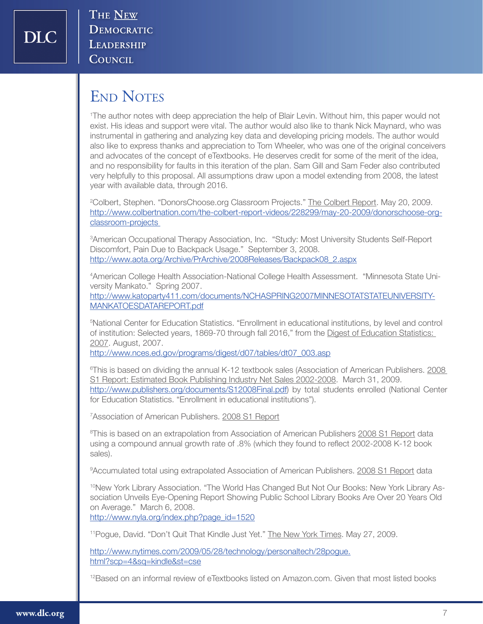# END NOTES

1 The author notes with deep appreciation the help of Blair Levin. Without him, this paper would not exist. His ideas and support were vital. The author would also like to thank Nick Maynard, who was instrumental in gathering and analyzing key data and developing pricing models. The author would also like to express thanks and appreciation to Tom Wheeler, who was one of the original conceivers and advocates of the concept of eTextbooks. He deserves credit for some of the merit of the idea, and no responsibility for faults in this iteration of the plan. Sam Gill and Sam Feder also contributed very helpfully to this proposal. All assumptions draw upon a model extending from 2008, the latest year with available data, through 2016.

<sup>2</sup>Colbert, Stephen. "DonorsChoose.org Classroom Projects." <u>The Colbert Report</u>. May 20, 2009. http://www.colbertnation.com/the-colbert-report-videos/228299/may-20-2009/donorschoose-orgclassroom-projects

3 American Occupational Therapy Association, Inc. "Study: Most University Students Self-Report Discomfort, Pain Due to Backpack Usage." September 3, 2008. http://www.aota.org/Archive/PrArchive/2008Releases/Backpack08\_2.aspx

4 American College Health Association-National College Health Assessment. "Minnesota State University Mankato." Spring 2007.

http://www.katoparty411.com/documents/NCHASPRING2007MINNESOTATSTATEUNIVERSITY-MANKATOESDATAREPORT.pdf

5 National Center for Education Statistics. "Enrollment in educational institutions, by level and control of institution: Selected years, 1869-70 through fall 2016," from the Digest of Education Statistics: 2007. August, 2007.

http://www.nces.ed.gov/programs/digest/d07/tables/dt07\_003.asp

<sup>6</sup>This is based on dividing the annual K-12 textbook sales (Association of American Publishers. 2008 S1 Report: Estimated Book Publishing Industry Net Sales 2002-2008. March 31, 2009. http://www.publishers.org/documents/S12008Final.pdf) by total students enrolled (National Center for Education Statistics. "Enrollment in educational institutions").

<sup>7</sup>Association of American Publishers. 2008 S1 Report

<sup>8</sup>This is based on an extrapolation from Association of American Publishers 2008 S1 Report data using a compound annual growth rate of .8% (which they found to reflect 2002-2008 K-12 book sales).

<sup>9</sup> Accumulated total using extrapolated Association of American Publishers. 2008 S1 Report data

<sup>10</sup>New York Library Association. "The World Has Changed But Not Our Books: New York Library Association Unveils Eye-Opening Report Showing Public School Library Books Are Over 20 Years Old on Average." March 6, 2008.

http://www.nyla.org/index.php?page\_id=1520

<sup>11</sup> Pogue, David. "Don't Quit That Kindle Just Yet." The New York Times. May 27, 2009.

http://www.nytimes.com/2009/05/28/technology/personaltech/28pogue. html?scp=4&sq=kindle&st=cse

12Based on an informal review of eTextbooks listed on Amazon.com. Given that most listed books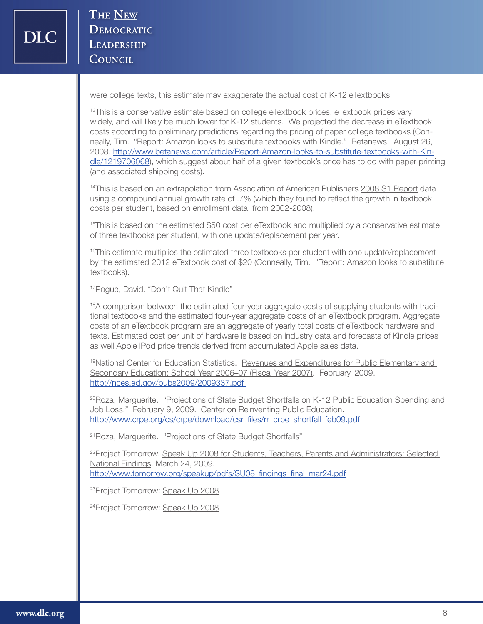were college texts, this estimate may exaggerate the actual cost of K-12 eTextbooks.

<sup>13</sup>This is a conservative estimate based on college eTextbook prices. eTextbook prices vary widely, and will likely be much lower for K-12 students. We projected the decrease in eTextbook costs according to preliminary predictions regarding the pricing of paper college textbooks (Conneally, Tim. "Report: Amazon looks to substitute textbooks with Kindle." Betanews. August 26, 2008. http://www.betanews.com/article/Report-Amazon-looks-to-substitute-textbooks-with-Kindle/1219706068), which suggest about half of a given textbook's price has to do with paper printing (and associated shipping costs).

<sup>14</sup>This is based on an extrapolation from Association of American Publishers 2008 S1 Report data using a compound annual growth rate of .7% (which they found to reflect the growth in textbook costs per student, based on enrollment data, from 2002-2008).

<sup>15</sup>This is based on the estimated \$50 cost per eTextbook and multiplied by a conservative estimate of three textbooks per student, with one update/replacement per year.

<sup>16</sup>This estimate multiplies the estimated three textbooks per student with one update/replacement by the estimated 2012 eTextbook cost of \$20 (Conneally, Tim. "Report: Amazon looks to substitute textbooks).

<sup>17</sup> Poque, David. "Don't Quit That Kindle"

<sup>18</sup>A comparison between the estimated four-year aggregate costs of supplying students with traditional textbooks and the estimated four-year aggregate costs of an eTextbook program. Aggregate costs of an eTextbook program are an aggregate of yearly total costs of eTextbook hardware and texts. Estimated cost per unit of hardware is based on industry data and forecasts of Kindle prices as well Apple iPod price trends derived from accumulated Apple sales data.

19National Center for Education Statistics. Revenues and Expenditures for Public Elementary and Secondary Education: School Year 2006-07 (Fiscal Year 2007). February, 2009. http://nces.ed.gov/pubs2009/2009337.pdf

<sup>20</sup>Roza, Marguerite. "Projections of State Budget Shortfalls on K-12 Public Education Spending and Job Loss." February 9, 2009. Center on Reinventing Public Education. http://www.crpe.org/cs/crpe/download/csr\_files/rr\_crpe\_shortfall\_feb09.pdf

21Roza, Marguerite. "Projections of State Budget Shortfalls"

<sup>22</sup>Project Tomorrow. Speak Up 2008 for Students, Teachers, Parents and Administrators: Selected National Findings. March 24, 2009. http://www.tomorrow.org/speakup/pdfs/SU08\_findings\_final\_mar24.pdf

23Project Tomorrow: Speak Up 2008

24Project Tomorrow: Speak Up 2008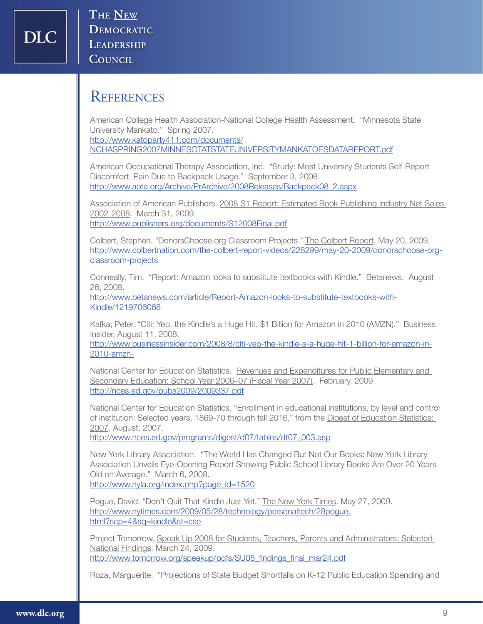#### **REFERENCES**

American College Health Association-National College Health Assessment. "Minnesota State University Mankato." Spring 2007.

http://www.katoparty411.com/documents/ NCHASPRING2007MINNESOTATSTATEUNIVERSITYMANKATOESDATAREPORT.pdf

American Occupational Therapy Association, Inc. "Study: Most University Students Self-Report Discomfort, Pain Due to Backpack Usage." September 3, 2008. http://www.aota.org/Archive/PrArchive/2008Releases/Backpack08\_2.aspx

Association of American Publishers. 2008 S1 Report: Estimated Book Publishing Industry Net Sales 2002-2008. March 31, 2009. http://www.publishers.org/documents/S12008Final.pdf

Colbert, Stephen. "DonorsChoose.org Classroom Projects." The Colbert Report. May 20, 2009. http://www.colbertnation.com/the-colbert-report-videos/228299/may-20-2009/donorschoose-orgclassroom-projects

Conneally, Tim. "Report: Amazon looks to substitute textbooks with Kindle." Betanews. August 26, 2008.

http://www.betanews.com/article/Report-Amazon-looks-to-substitute-textbooks-with-Kindle/1219706068

Kafka, Peter. "Citi: Yep, the Kindle's a Huge Hit. \$1 Billion for Amazon in 2010 (AMZN)." Business Insider. August 11, 2008.

http://www.businessinsider.com/2008/8/citi-yep-the-kindle-s-a-huge-hit-1-billion-for-amazon-in-2010-amzn-

National Center for Education Statistics. Revenues and Expenditures for Public Elementary and Secondary Education: School Year 2006–07 (Fiscal Year 2007). February, 2009. http://nces.ed.gov/pubs2009/2009337.pdf

National Center for Education Statistics. "Enrollment in educational institutions, by level and control of institution: Selected years, 1869-70 through fall 2016," from the Digest of Education Statistics: 2007. August, 2007.

http://www.nces.ed.gov/programs/digest/d07/tables/dt07\_003.asp

New York Library Association. "The World Has Changed But Not Our Books: New York Library Association Unveils Eye-Opening Report Showing Public School Library Books Are Over 20 Years Old on Average." March 6, 2008. http://www.nyla.org/index.php?page\_id=1520

Pogue, David. "Don't Quit That Kindle Just Yet." The New York Times. May 27, 2009. http://www.nytimes.com/2009/05/28/technology/personaltech/28pogue. html?scp=4&sq=kindle&st=cse

Project Tomorrow. Speak Up 2008 for Students, Teachers, Parents and Administrators: Selected National Findings. March 24, 2009. http://www.tomorrow.org/speakup/pdfs/SU08\_findings\_final\_mar24.pdf

Roza, Marguerite. "Projections of State Budget Shortfalls on K-12 Public Education Spending and